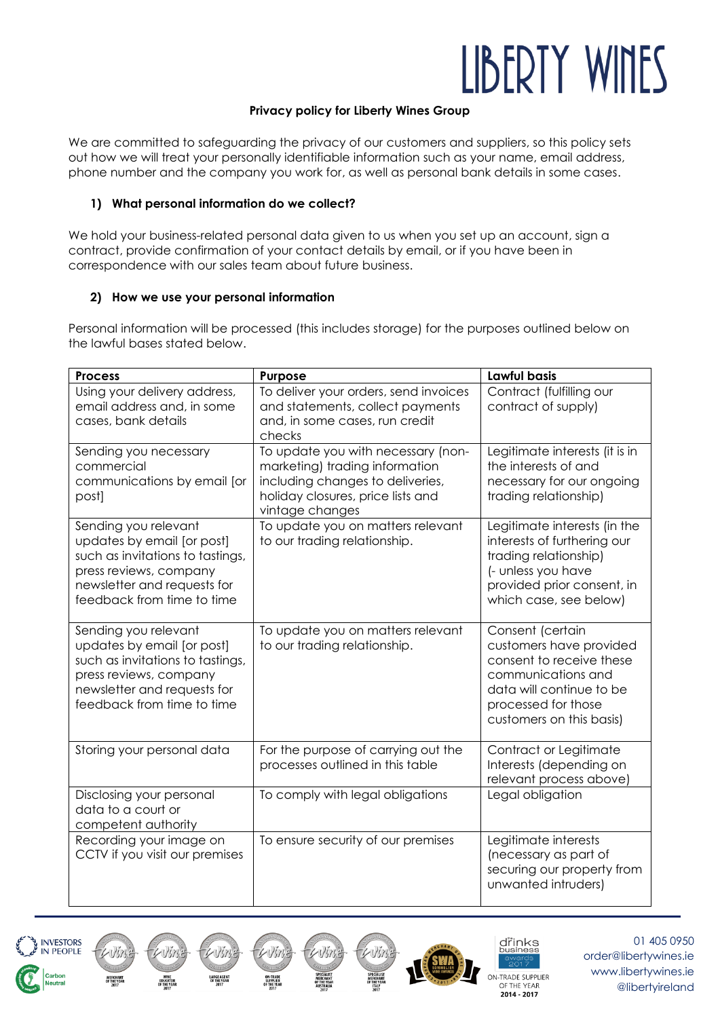# LIBERTY WINES

#### **Privacy policy for Liberty Wines Group**

We are committed to safeguarding the privacy of our customers and suppliers, so this policy sets out how we will treat your personally identifiable information such as your name, email address, phone number and the company you work for, as well as personal bank details in some cases.

#### **1) What personal information do we collect?**

We hold your business-related personal data given to us when you set up an account, sign a contract, provide confirmation of your contact details by email, or if you have been in correspondence with our sales team about future business.

### **2) How we use your personal information**

Personal information will be processed (this includes storage) for the purposes outlined below on the lawful bases stated below.

| <b>Process</b>                                                                                                                                                                | Purpose                                                                                                                                                          | Lawful basis                                                                                                                                                                 |
|-------------------------------------------------------------------------------------------------------------------------------------------------------------------------------|------------------------------------------------------------------------------------------------------------------------------------------------------------------|------------------------------------------------------------------------------------------------------------------------------------------------------------------------------|
| Using your delivery address,<br>email address and, in some<br>cases, bank details                                                                                             | To deliver your orders, send invoices<br>and statements, collect payments<br>and, in some cases, run credit<br>checks                                            | Contract (fulfilling our<br>contract of supply)                                                                                                                              |
| Sending you necessary<br>commercial<br>communications by email [or<br>post]                                                                                                   | To update you with necessary (non-<br>marketing) trading information<br>including changes to deliveries,<br>holiday closures, price lists and<br>vintage changes | Legitimate interests (it is in<br>the interests of and<br>necessary for our ongoing<br>trading relationship)                                                                 |
| Sending you relevant<br>updates by email [or post]<br>such as invitations to tastings,<br>press reviews, company<br>newsletter and requests for<br>feedback from time to time | To update you on matters relevant<br>to our trading relationship.                                                                                                | Legitimate interests (in the<br>interests of furthering our<br>trading relationship)<br>(- unless you have<br>provided prior consent, in<br>which case, see below)           |
| Sending you relevant<br>updates by email [or post]<br>such as invitations to tastings,<br>press reviews, company<br>newsletter and requests for<br>feedback from time to time | To update you on matters relevant<br>to our trading relationship.                                                                                                | Consent (certain<br>customers have provided<br>consent to receive these<br>communications and<br>data will continue to be<br>processed for those<br>customers on this basis) |
| Storing your personal data                                                                                                                                                    | For the purpose of carrying out the<br>processes outlined in this table                                                                                          | Contract or Legitimate<br>Interests (depending on<br>relevant process above)                                                                                                 |
| Disclosing your personal<br>data to a court or<br>competent authority                                                                                                         | To comply with legal obligations                                                                                                                                 | Legal obligation                                                                                                                                                             |
| Recording your image on<br>CCTV if you visit our premises                                                                                                                     | To ensure security of our premises                                                                                                                               | Legitimate interests<br>(necessary as part of<br>securing our property from<br>unwanted intruders)                                                                           |

Viri

 $-1/(7)$ 





drinks

ON-TRADE SUPPLIER OF THE YEAR 2014 - 2017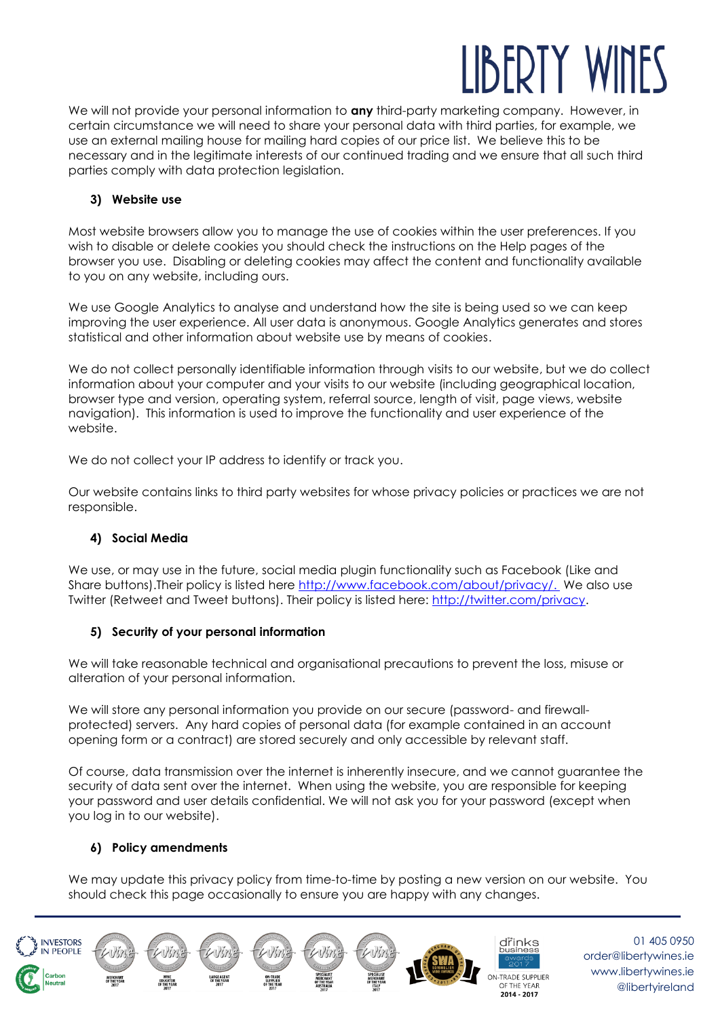# LIBERTY W

We will not provide your personal information to **any** third-party marketing company. However, in certain circumstance we will need to share your personal data with third parties, for example, we use an external mailing house for mailing hard copies of our price list. We believe this to be necessary and in the legitimate interests of our continued trading and we ensure that all such third parties comply with data protection legislation.

# **3) Website use**

Most website browsers allow you to manage the use of cookies within the user preferences. If you wish to disable or delete cookies you should check the instructions on the Help pages of the browser you use. Disabling or deleting cookies may affect the content and functionality available to you on any website, including ours.

We use Google Analytics to analyse and understand how the site is being used so we can keep improving the user experience. All user data is anonymous. Google Analytics generates and stores statistical and other information about website use by means of cookies.

We do not collect personally identifiable information through visits to our website, but we do collect information about your computer and your visits to our website (including geographical location, browser type and version, operating system, referral source, length of visit, page views, website navigation). This information is used to improve the functionality and user experience of the website.

We do not collect your IP address to identify or track you.

Our website contains links to third party websites for whose privacy policies or practices we are not responsible.

# **4) Social Media**

We use, or may use in the future, social media plugin functionality such as Facebook (Like and Share buttons).Their policy is listed here [http://www.facebook.com/about/privacy/.](https://www.facebook.com/about/privacy/) We also use Twitter (Retweet and Tweet buttons). Their policy is listed here: [http://twitter.com/privacy.](https://twitter.com/privacy)

# **5) Security of your personal information**

We will take reasonable technical and organisational precautions to prevent the loss, misuse or alteration of your personal information.

We will store any personal information you provide on our secure (password- and firewallprotected) servers. Any hard copies of personal data (for example contained in an account opening form or a contract) are stored securely and only accessible by relevant staff.

Of course, data transmission over the internet is inherently insecure, and we cannot guarantee the security of data sent over the internet. When using the website, you are responsible for keeping your password and user details confidential. We will not ask you for your password (except when you log in to our website).

# **6) Policy amendments**

We may update this privacy policy from time-to-time by posting a new version on our website. You should check this page occasionally to ensure you are happy with any changes.